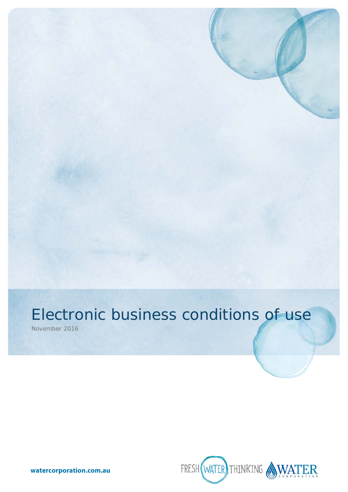November 2016



**watercorporation.com.au**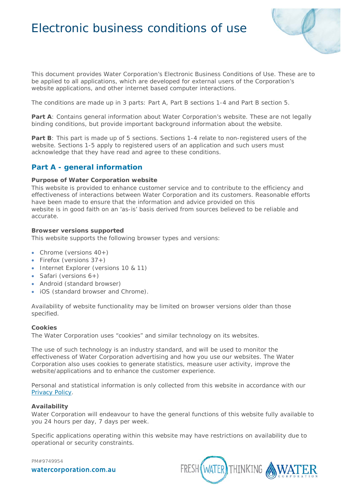

This document provides Water Corporation's Electronic Business Conditions of Use. These are to be applied to all applications, which are developed for external users of the Corporation's website applications, and other internet based computer interactions.

The conditions are made up in 3 parts: Part A, Part B sections 1-4 and Part B section 5.

**Part A:** Contains general information about Water Corporation's website. These are not legally binding conditions, but provide important background information about the website.

**Part B**: This part is made up of 5 sections. Sections 1-4 relate to non-registered users of the website. Sections 1-5 apply to registered users of an application and such users must acknowledge that they have read and agree to these conditions.

# **Part A - general information**

#### **Purpose of Water Corporation website**

This website is provided to enhance customer service and to contribute to the efficiency and effectiveness of interactions between Water Corporation and its customers. Reasonable efforts have been made to ensure that the information and advice provided on this website is in good faith on an 'as-is' basis derived from sources believed to be reliable and accurate.

#### **Browser versions supported**

This website supports the following browser types and versions:

- Chrome (versions  $40+$ )
- Firefox (versions  $37+$ )
- Internet Explorer (versions 10 & 11)
- Safari (versions 6+)
- Android (standard browser)
- iOS (standard browser and Chrome).

Availability of website functionality may be limited on browser versions older than those specified.

#### **Cookies**

The Water Corporation uses "cookies" and similar technology on its websites.

The use of such technology is an industry standard, and will be used to monitor the effectiveness of Water Corporation advertising and how you use our websites. The Water Corporation also uses cookies to generate statistics, measure user activity, improve the website/applications and to enhance the customer experience.

Personal and statistical information is only collected from this website in accordance with our [Privacy Policy.](https://www.watercorporation.com.au/legal/privacy)

### **Availability**

Water Corporation will endeavour to have the general functions of this website fully available to you 24 hours per day, 7 days per week.

Specific applications operating within this website may have restrictions on availability due to operational or security constraints.

PM#9749954

watercorporation.com.au

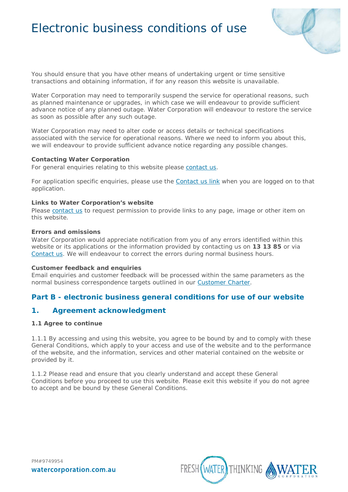

You should ensure that you have other means of undertaking urgent or time sensitive transactions and obtaining information, if for any reason this website is unavailable.

Water Corporation may need to temporarily suspend the service for operational reasons, such as planned maintenance or upgrades, in which case we will endeavour to provide sufficient advance notice of any planned outage. Water Corporation will endeavour to restore the service as soon as possible after any such outage.

Water Corporation may need to alter code or access details or technical specifications associated with the service for operational reasons. Where we need to inform you about this, we will endeavour to provide sufficient advance notice regarding any possible changes.

#### **Contacting Water Corporation**

For general enquiries relating to this website please [contact us.](https://www.watercorporation.com.au/about-us/contact-us)

For application specific enquiries, please use the [Contact us link](https://www.watercorporation.com.au/about-us/contact-us) when you are logged on to that application.

#### **Links to Water Corporation's website**

Please [contact us](https://www.watercorporation.com.au/about-us/contact-us) to request permission to provide links to any page, image or other item on this website.

#### **Errors and omissions**

Water Corporation would appreciate notification from you of any errors identified within this website or its applications or the information provided by contacting us on **13 13 85** or via [Contact us.](https://www.watercorporation.com.au/about-us/contact-us) We will endeavour to correct the errors during normal business hours.

#### **Customer feedback and enquiries**

Email enquiries and customer feedback will be processed within the same parameters as the normal business correspondence targets outlined in our [Customer Charter.](http://www.watercorporation.com.au/Home/Residential/About%20us/Our%20commitments/Our%20promise%20to%20you)

# **Part B - electronic business general conditions for use of our website**

# **1. Agreement acknowledgment**

### **1.1 Agree to continue**

1.1.1 By accessing and using this website, you agree to be bound by and to comply with these General Conditions, which apply to your access and use of the website and to the performance of the website, and the information, services and other material contained on the website or provided by it.

1.1.2 Please read and ensure that you clearly understand and accept these General Conditions before you proceed to use this website. Please exit this website if you do not agree to accept and be bound by these General Conditions.

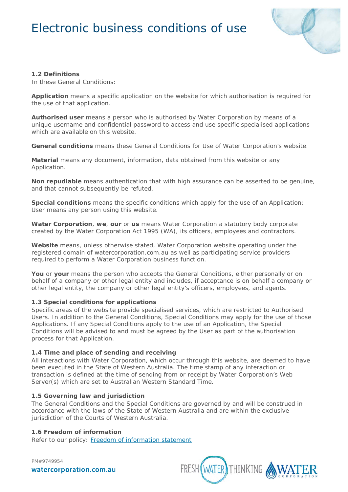

### **1.2 Definitions**

In these General Conditions:

**Application** means a specific application on the website for which authorisation is required for the use of that application.

**Authorised user** means a person who is authorised by Water Corporation by means of a unique username and confidential password to access and use specific specialised applications which are available on this website.

**General conditions** means these General Conditions for Use of Water Corporation's website.

**Material** means any document, information, data obtained from this website or any Application.

**Non repudiable** means authentication that with high assurance can be asserted to be genuine, and that cannot subsequently be refuted.

**Special conditions** means the specific conditions which apply for the use of an Application; User means any person using this website.

**Water Corporation**, **we**, **our** or **us** means Water Corporation a statutory body corporate created by the *Water Corporation Act 1995* (WA), its officers, employees and contractors.

**Website** means, unless otherwise stated, Water Corporation website operating under the registered domain of watercorporation.com.au as well as participating service providers required to perform a Water Corporation business function.

**You** or **your** means the person who accepts the General Conditions, either personally or on behalf of a company or other legal entity and includes, if acceptance is on behalf a company or other legal entity, the company or other legal entity's officers, employees, and agents.

### **1.3 Special conditions for applications**

Specific areas of the website provide specialised services, which are restricted to Authorised Users. In addition to the General Conditions, Special Conditions may apply for the use of those Applications. If any Special Conditions apply to the use of an Application, the Special Conditions will be advised to and must be agreed by the User as part of the authorisation process for that Application.

#### **1.4 Time and place of sending and receiving**

All interactions with Water Corporation, which occur through this website, are deemed to have been executed in the State of Western Australia. The time stamp of any interaction or transaction is defined at the time of sending from or receipt by Water Corporation's Web Server(s) which are set to Australian Western Standard Time.

#### **1.5 Governing law and jurisdiction**

The General Conditions and the Special Conditions are governed by and will be construed in accordance with the laws of the State of Western Australia and are within the exclusive jurisdiction of the Courts of Western Australia.

# **1.6 Freedom of information**

Refer to our policy: [Freedom of information statement](http://www.watercorporation.com.au/legal/freedom-of-information)

PM#9749954 watercorporation.com.au

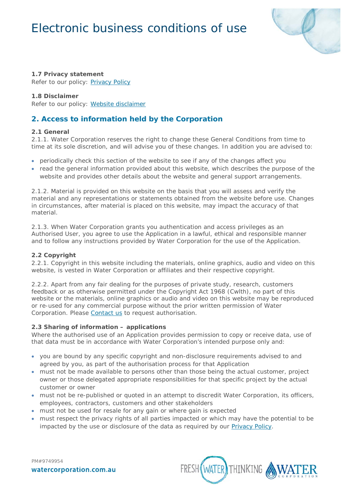

# **1.7 Privacy statement**

Refer to our policy: [Privacy Policy](http://www.watercorporation.com.au/legal/privacy)

# **1.8 Disclaimer**

Refer to our policy: [Website disclaimer](http://www.watercorporation.com.au/legal/website-disclaimer)

# **2. Access to information held by the Corporation**

# **2.1 General**

2.1.1. Water Corporation reserves the right to change these General Conditions from time to time at its sole discretion, and will advise you of these changes. In addition you are advised to:

- periodically check this section of the website to see if any of the changes affect you
- read the general information provided about this website, which describes the purpose of the website and provides other details about the website and general support arrangements.

2.1.2. Material is provided on this website on the basis that you will assess and verify the material and any representations or statements obtained from the website before use. Changes in circumstances, after material is placed on this website, may impact the accuracy of that material.

2.1.3. When Water Corporation grants you authentication and access privileges as an Authorised User, you agree to use the Application in a lawful, ethical and responsible manner and to follow any instructions provided by Water Corporation for the use of the Application.

# **2.2 Copyright**

2.2.1. Copyright in this website including the materials, online graphics, audio and video on this website, is vested in Water Corporation or affiliates and their respective copyright.

2.2.2. Apart from any fair dealing for the purposes of private study, research, customers feedback or as otherwise permitted under the *Copyright Act 1968* (Cwlth), no part of this website or the materials, online graphics or audio and video on this website may be reproduced or re-used for any commercial purpose without the prior written permission of Water Corporation. Please [Contact](https://www.watercorporation.com.au/about-us/contact-us) us to request authorisation.

### **2.3 Sharing of information – applications**

Where the authorised use of an Application provides permission to copy or receive data, use of that data must be in accordance with Water Corporation's intended purpose only and:

- you are bound by any specific copyright and non-disclosure requirements advised to and agreed by you, as part of the authorisation process for that Application
- must not be made available to persons other than those being the actual customer, project owner or those delegated appropriate responsibilities for that specific project by the actual customer or owner
- must not be re-published or quoted in an attempt to discredit Water Corporation, its officers, employees, contractors, customers and other stakeholders
- must not be used for resale for any gain or where gain is expected
- must respect the privacy rights of all parties impacted or which may have the potential to be impacted by the use or disclosure of the data as required by our [Privacy Policy.](https://www.watercorporation.com.au/legal/privacy)



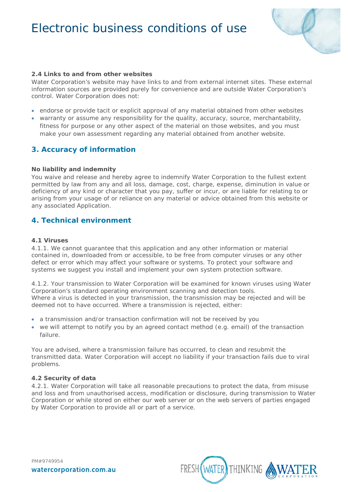

# **2.4 Links to and from other websites**

Water Corporation's website may have links to and from external internet sites. These external information sources are provided purely for convenience and are outside Water Corporation's control. Water Corporation does not:

- endorse or provide tacit or explicit approval of any material obtained from other websites
- warranty or assume any responsibility for the quality, accuracy, source, merchantability, fitness for purpose or any other aspect of the material on those websites, and you must make your own assessment regarding any material obtained from another website.

# **3. Accuracy of information**

#### **No liability and indemnity**

You waive and release and hereby agree to indemnify Water Corporation to the fullest extent permitted by law from any and all loss, damage, cost, charge, expense, diminution in value or deficiency of any kind or character that you pay, suffer or incur, or are liable for relating to or arising from your usage of or reliance on any material or advice obtained from this website or any associated Application.

# **4. Technical environment**

#### **4.1 Viruses**

4.1.1. We cannot guarantee that this application and any other information or material contained in, downloaded from or accessible, to be free from computer viruses or any other defect or error which may affect your software or systems. To protect your software and systems we suggest you install and implement your own system protection software.

4.1.2. Your transmission to Water Corporation will be examined for known viruses using Water Corporation's standard operating environment scanning and detection tools. Where a virus is detected in your transmission, the transmission may be rejected and will be deemed not to have occurred. Where a transmission is rejected, either:

- a transmission and/or transaction confirmation will not be received by you
- we will attempt to notify you by an agreed contact method (e.g. email) of the transaction failure.

You are advised, where a transmission failure has occurred, to clean and resubmit the transmitted data. Water Corporation will accept no liability if your transaction fails due to viral problems.

# **4.2 Security of data**

4.2.1. Water Corporation will take all reasonable precautions to protect the data, from misuse and loss and from unauthorised access, modification or disclosure, during transmission to Water Corporation or while stored on either our web server or on the web servers of parties engaged by Water Corporation to provide all or part of a service.

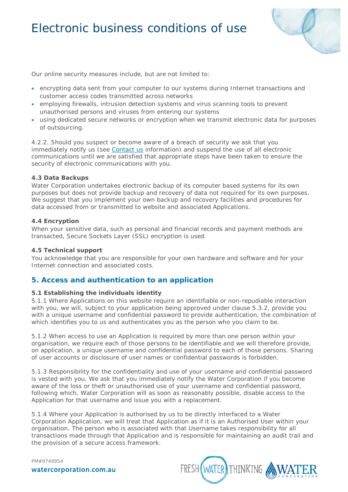

Our online security measures include, but are not limited to:

- encrypting data sent from your computer to our systems during Internet transactions and customer access codes transmitted across networks
- employing firewalls, intrusion detection systems and virus scanning tools to prevent unauthorised persons and viruses from entering our systems
- using dedicated secure networks or encryption when we transmit electronic data for purposes of outsourcing.

4.2.2. Should you suspect or become aware of a breach of security we ask that you immediately notify us (see [Contact us](https://www.watercorporation.com.au/about-us/contact-us) information) and suspend the use of all electronic communications until we are satisfied that appropriate steps have been taken to ensure the security of electronic communications with you.

#### **4.3 Data Backups**

Water Corporation undertakes electronic backup of its computer based systems for its own purposes but does not provide backup and recovery of data not required for its own purposes. We suggest that you implement your own backup and recovery facilities and procedures for data accessed from or transmitted to website and associated Applications.

#### **4.4 Encryption**

When your sensitive data, such as personal and financial records and payment methods are transacted, Secure Sockets Layer (SSL) encryption is used.

#### **4.5 Technical support**

You acknowledge that you are responsible for your own hardware and software and for your Internet connection and associated costs.

# **5. Access and authentication to an application**

#### **5.1 Establishing the individuals identity**

5.1.1 Where Applications on this website require an identifiable or non-repudiable interaction with you, we will, subject to your application being approved under clause 5.3.2, provide you with a unique username and confidential password to provide authentication, the combination of which identifies you to us and authenticates you as the person who you claim to be.

5.1.2 When access to use an Application is required by more than one person within your organisation, we require each of those persons to be identifiable and we will therefore provide, on application, a unique username and confidential password to each of those persons. Sharing of user accounts or disclosure of user names or confidential passwords is forbidden.

5.1.3 Responsibility for the confidentiality and use of your username and confidential password is vested with you. We ask that you immediately notify the Water Corporation if you become aware of the loss or theft or unauthorised use of your username and confidential password, following which, Water Corporation will as soon as reasonably possible, disable access to the Application for that username and issue you with a replacement.

5.1.4 Where your Application is authorised by us to be directly interfaced to a Water Corporation Application, we will treat that Application as if it is an Authorised User within your organisation. The person who is associated with that Username takes responsibility for all transactions made through that Application and is responsible for maintaining an audit trail and the provision of a secure access framework.

FRESH (WATER) THINKING

watercorporation.com.au

PM#9749954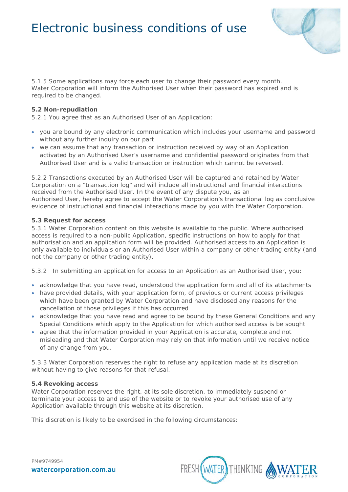

5.1.5 Some applications may force each user to change their password every month. Water Corporation will inform the Authorised User when their password has expired and is required to be changed.

### **5.2 Non-repudiation**

5.2.1 You agree that as an Authorised User of an Application:

- you are bound by any electronic communication which includes your username and password without any further inquiry on our part
- we can assume that any transaction or instruction received by way of an Application activated by an Authorised User's username and confidential password originates from that Authorised User and is a valid transaction or instruction which cannot be reversed.

5.2.2 Transactions executed by an Authorised User will be captured and retained by Water Corporation on a "transaction log" and will include all instructional and financial interactions received from the Authorised User. In the event of any dispute you, as an Authorised User, hereby agree to accept the Water Corporation's transactional log as conclusive evidence of instructional and financial interactions made by you with the Water Corporation.

# **5.3 Request for access**

5.3.1 Water Corporation content on this website is available to the public. Where authorised access is required to a non-public Application, specific instructions on how to apply for that authorisation and an application form will be provided. Authorised access to an Application is only available to individuals or an Authorised User within a company or other trading entity (and not the company or other trading entity).

5.3.2 In submitting an application for access to an Application as an Authorised User, you:

- acknowledge that you have read, understood the application form and all of its attachments
- have provided details, with your application form, of previous or current access privileges which have been granted by Water Corporation and have disclosed any reasons for the cancellation of those privileges if this has occurred
- acknowledge that you have read and agree to be bound by these General Conditions and any Special Conditions which apply to the Application for which authorised access is be sought
- agree that the information provided in your Application is accurate, complete and not misleading and that Water Corporation may rely on that information until we receive notice of any change from you.

5.3.3 Water Corporation reserves the right to refuse any application made at its discretion without having to give reasons for that refusal.

### **5.4 Revoking access**

Water Corporation reserves the right, at its sole discretion, to immediately suspend or terminate your access to and use of the website or to revoke your authorised use of any Application available through this website at its discretion.

This discretion is likely to be exercised in the following circumstances: